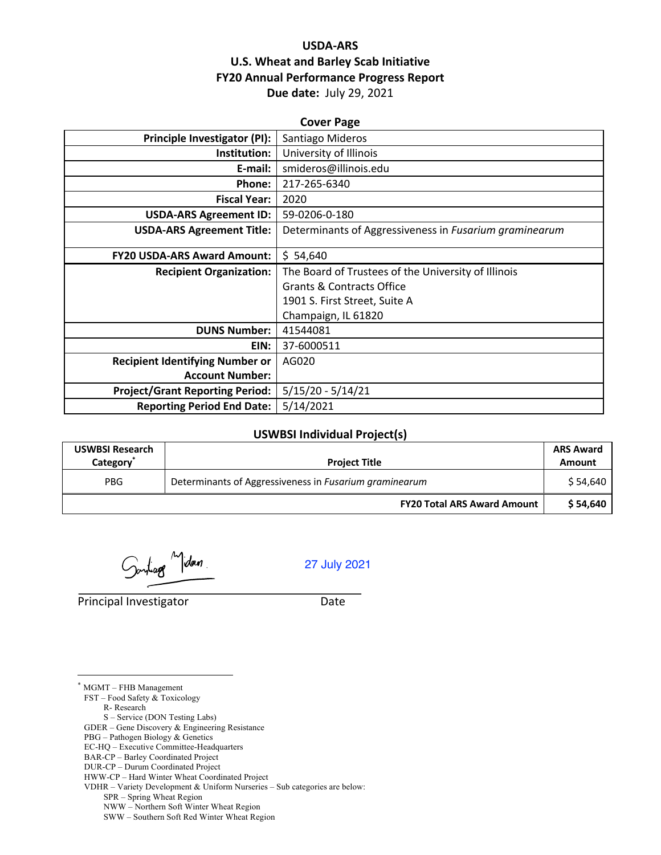# **USDA-ARS U.S. Wheat and Barley Scab Initiative FY20 Annual Performance Progress Report Due date:** July 29, 2021

| <b>Cover Page</b>                      |                                                        |  |  |
|----------------------------------------|--------------------------------------------------------|--|--|
| <b>Principle Investigator (PI):</b>    | Santiago Mideros                                       |  |  |
| Institution:                           | University of Illinois                                 |  |  |
| E-mail:                                | smideros@illinois.edu                                  |  |  |
| Phone:                                 | 217-265-6340                                           |  |  |
| <b>Fiscal Year:</b>                    | 2020                                                   |  |  |
| <b>USDA-ARS Agreement ID:</b>          | 59-0206-0-180                                          |  |  |
| <b>USDA-ARS Agreement Title:</b>       | Determinants of Aggressiveness in Fusarium graminearum |  |  |
|                                        |                                                        |  |  |
| <b>FY20 USDA-ARS Award Amount:</b>     | \$54,640                                               |  |  |
| <b>Recipient Organization:</b>         | The Board of Trustees of the University of Illinois    |  |  |
|                                        | <b>Grants &amp; Contracts Office</b>                   |  |  |
|                                        | 1901 S. First Street, Suite A                          |  |  |
|                                        | Champaign, IL 61820                                    |  |  |
| <b>DUNS Number:</b>                    | 41544081                                               |  |  |
| EIN:                                   | 37-6000511                                             |  |  |
| <b>Recipient Identifying Number or</b> | AG020                                                  |  |  |
| <b>Account Number:</b>                 |                                                        |  |  |
| <b>Project/Grant Reporting Period:</b> | $5/15/20 - 5/14/21$                                    |  |  |
| <b>Reporting Period End Date:</b>      | 5/14/2021                                              |  |  |

## **USWBSI Individual Project(s)**

| <b>USWBSI Research</b><br>Category <sup>*</sup> | <b>Project Title</b>                                   | <b>ARS Award</b><br><b>Amount</b> |
|-------------------------------------------------|--------------------------------------------------------|-----------------------------------|
| <b>PBG</b>                                      | Determinants of Aggressiveness in Fusarium graminearum | \$54,640                          |
|                                                 | <b>FY20 Total ARS Award Amount</b>                     | \$54,640                          |

Sontage Midon.

27 July 2021

Principal Investigator Date

\* MGMT – FHB Management FST – Food Safety & Toxicology R- Research

S – Service (DON Testing Labs)

GDER – Gene Discovery & Engineering Resistance

PBG – Pathogen Biology & Genetics

EC-HQ – Executive Committee-Headquarters

BAR-CP – Barley Coordinated Project

DUR-CP – Durum Coordinated Project

HWW-CP – Hard Winter Wheat Coordinated Project

VDHR – Variety Development & Uniform Nurseries – Sub categories are below:

SPR – Spring Wheat Region

NWW – Northern Soft Winter Wheat Region

SWW – Southern Soft Red Winter Wheat Region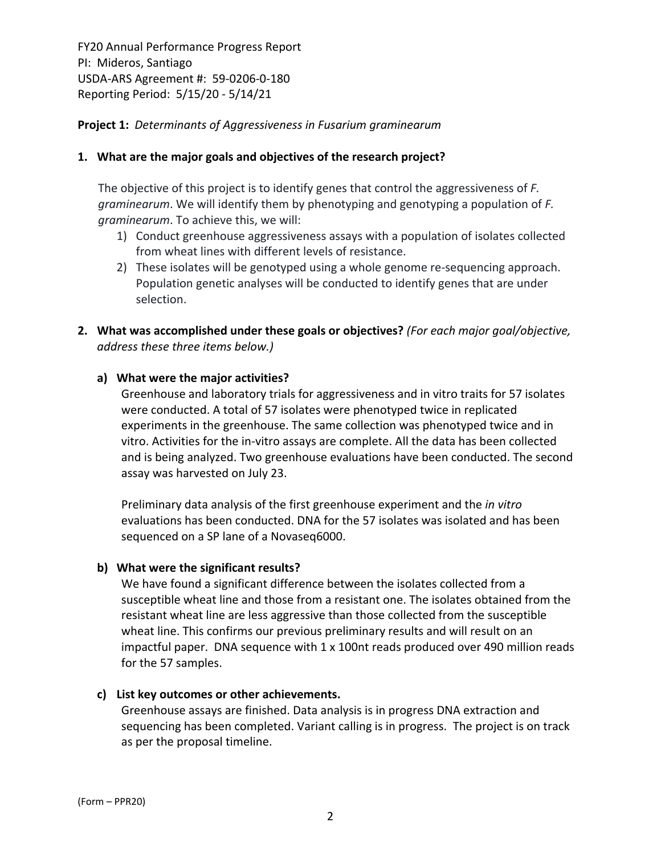# **Project 1:** *Determinants of Aggressiveness in Fusarium graminearum*

# **1. What are the major goals and objectives of the research project?**

The objective of this project is to identify genes that control the aggressiveness of *F. graminearum*. We will identify them by phenotyping and genotyping a population of *F. graminearum*. To achieve this, we will:

- 1) Conduct greenhouse aggressiveness assays with a population of isolates collected from wheat lines with different levels of resistance.
- 2) These isolates will be genotyped using a whole genome re-sequencing approach. Population genetic analyses will be conducted to identify genes that are under selection.
- **2. What was accomplished under these goals or objectives?** *(For each major goal/objective, address these three items below.)*

# **a) What were the major activities?**

Greenhouse and laboratory trials for aggressiveness and in vitro traits for 57 isolates were conducted. A total of 57 isolates were phenotyped twice in replicated experiments in the greenhouse. The same collection was phenotyped twice and in vitro. Activities for the in‐vitro assays are complete. All the data has been collected and is being analyzed. Two greenhouse evaluations have been conducted. The second assay was harvested on July 23.

Preliminary data analysis of the first greenhouse experiment and the *in vitro* evaluations has been conducted. DNA for the 57 isolates was isolated and has been sequenced on a SP lane of a Novaseq6000.

## **b) What were the significant results?**

We have found a significant difference between the isolates collected from a susceptible wheat line and those from a resistant one. The isolates obtained from the resistant wheat line are less aggressive than those collected from the susceptible wheat line. This confirms our previous preliminary results and will result on an impactful paper. DNA sequence with 1 x 100nt reads produced over 490 million reads for the 57 samples.

## **c) List key outcomes or other achievements.**

Greenhouse assays are finished. Data analysis is in progress DNA extraction and sequencing has been completed. Variant calling is in progress. The project is on track as per the proposal timeline.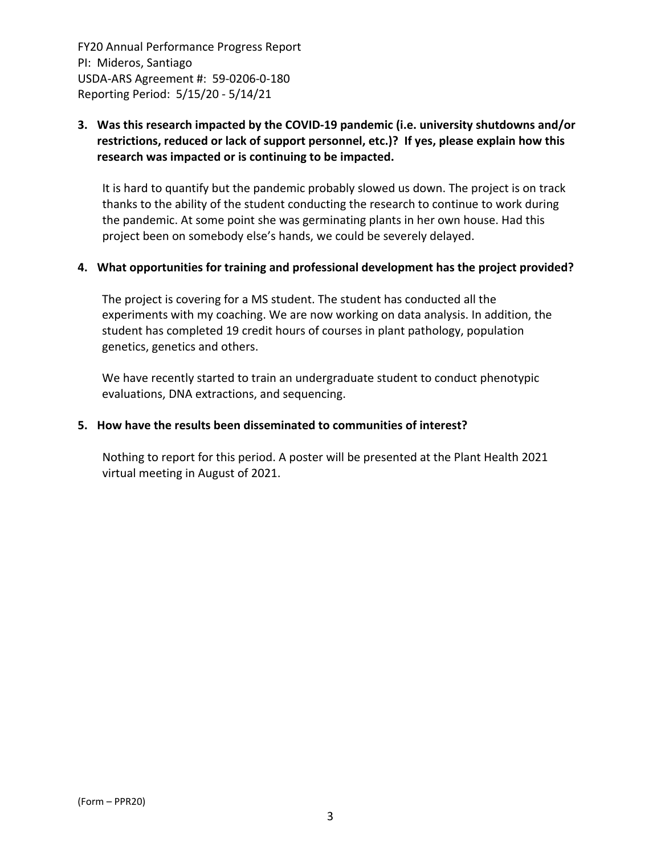# **3. Was this research impacted by the COVID‐19 pandemic (i.e. university shutdowns and/or restrictions, reduced or lack of support personnel, etc.)? If yes, please explain how this research was impacted or is continuing to be impacted.**

It is hard to quantify but the pandemic probably slowed us down. The project is on track thanks to the ability of the student conducting the research to continue to work during the pandemic. At some point she was germinating plants in her own house. Had this project been on somebody else's hands, we could be severely delayed.

# **4. What opportunities for training and professional development has the project provided?**

The project is covering for a MS student. The student has conducted all the experiments with my coaching. We are now working on data analysis. In addition, the student has completed 19 credit hours of courses in plant pathology, population genetics, genetics and others.

We have recently started to train an undergraduate student to conduct phenotypic evaluations, DNA extractions, and sequencing.

# **5. How have the results been disseminated to communities of interest?**

Nothing to report for this period. A poster will be presented at the Plant Health 2021 virtual meeting in August of 2021.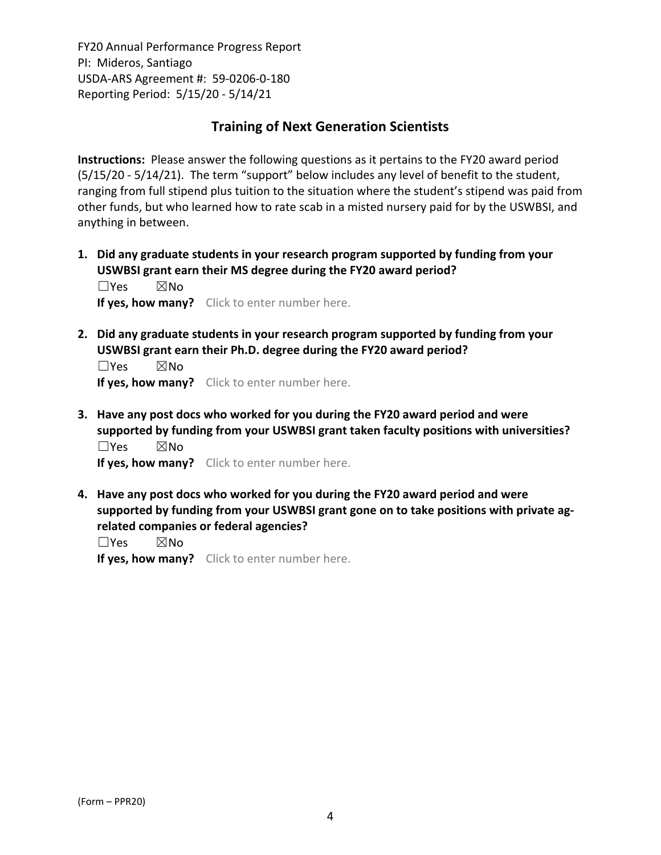# **Training of Next Generation Scientists**

**Instructions:** Please answer the following questions as it pertains to the FY20 award period (5/15/20 ‐ 5/14/21). The term "support" below includes any level of benefit to the student, ranging from full stipend plus tuition to the situation where the student's stipend was paid from other funds, but who learned how to rate scab in a misted nursery paid for by the USWBSI, and anything in between.

**1. Did any graduate students in your research program supported by funding from your USWBSI grant earn their MS degree during the FY20 award period?** ☐Yes ☒No

**If yes, how many?** Click to enter number here.

**2. Did any graduate students in your research program supported by funding from your USWBSI grant earn their Ph.D. degree during the FY20 award period?**

☐Yes ☒No **If yes, how many?** Click to enter number here.

**3. Have any post docs who worked for you during the FY20 award period and were supported by funding from your USWBSI grant taken faculty positions with universities?** ☐Yes ☒No

**If yes, how many?** Click to enter number here.

**4. Have any post docs who worked for you during the FY20 award period and were supported by funding from your USWBSI grant gone on to take positions with private ag‐ related companies or federal agencies?**

☐Yes ☒No

**If yes, how many?** Click to enter number here.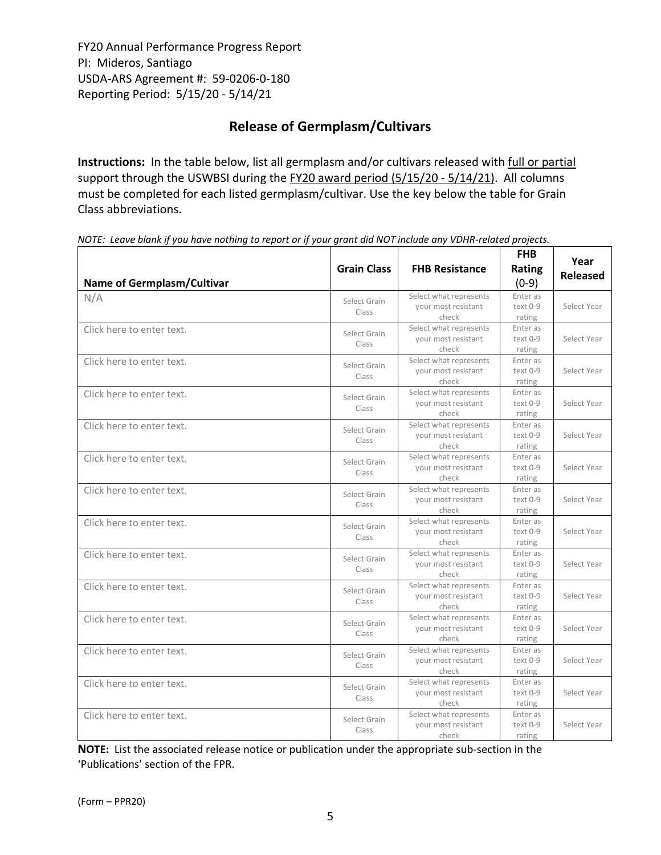# **Release of Germplasm/Cultivars**

**Instructions:** In the table below, list all germplasm and/or cultivars released with full or partial support through the USWBSI during the FY20 award period (5/15/20 - 5/14/21). All columns must be completed for each listed germplasm/cultivar. Use the key below the table for Grain Class abbreviations. 

| <b>Name of Germplasm/Cultivar</b> | <b>Grain Class</b>    | <b>FHB Resistance</b>                                  | <b>FHB</b><br>Rating<br>$(0-9)$ | Year<br><b>Released</b> |
|-----------------------------------|-----------------------|--------------------------------------------------------|---------------------------------|-------------------------|
| N/A                               | Select Grain<br>Class | Select what represents<br>your most resistant<br>check | Enter as<br>text 0-9<br>rating  | Select Year             |
| Click here to enter text.         | Select Grain<br>Class | Select what represents<br>your most resistant<br>check | Enter as<br>text 0-9<br>rating  | Select Year             |
| Click here to enter text.         | Select Grain<br>Class | Select what represents<br>your most resistant<br>check | Enter as<br>text 0-9<br>rating  | Select Year             |
| Click here to enter text.         | Select Grain<br>Class | Select what represents<br>your most resistant<br>check | Enter as<br>text 0-9<br>rating  | Select Year             |
| Click here to enter text.         | Select Grain<br>Class | Select what represents<br>your most resistant<br>check | Enter as<br>text 0-9<br>rating  | Select Year             |
| Click here to enter text.         | Select Grain<br>Class | Select what represents<br>your most resistant<br>check | Enter as<br>text 0-9<br>rating  | Select Year             |
| Click here to enter text.         | Select Grain<br>Class | Select what represents<br>your most resistant<br>check | Enter as<br>text 0-9<br>rating  | Select Year             |
| Click here to enter text.         | Select Grain<br>Class | Select what represents<br>your most resistant<br>check | Enter as<br>text 0-9<br>rating  | Select Year             |
| Click here to enter text.         | Select Grain<br>Class | Select what represents<br>your most resistant<br>check | Enter as<br>text 0-9<br>rating  | Select Year             |
| Click here to enter text.         | Select Grain<br>Class | Select what represents<br>your most resistant<br>check | Enter as<br>text 0-9<br>rating  | Select Year             |
| Click here to enter text.         | Select Grain<br>Class | Select what represents<br>your most resistant<br>check | Enter as<br>text 0-9<br>rating  | Select Year             |
| Click here to enter text.         | Select Grain<br>Class | Select what represents<br>your most resistant<br>check | Enter as<br>text 0-9<br>rating  | Select Year             |
| Click here to enter text.         | Select Grain<br>Class | Select what represents<br>your most resistant<br>check | Enter as<br>text 0-9<br>rating  | Select Year             |
| Click here to enter text.         | Select Grain<br>Class | Select what represents<br>your most resistant<br>check | Enter as<br>text 0-9<br>rating  | Select Year             |

NOTE: Leave blank if you have nothing to report or if your grant did NOT include any VDHR-related projects.

**NOTE:** List the associated release notice or publication under the appropriate sub-section in the 'Publications' section of the FPR.